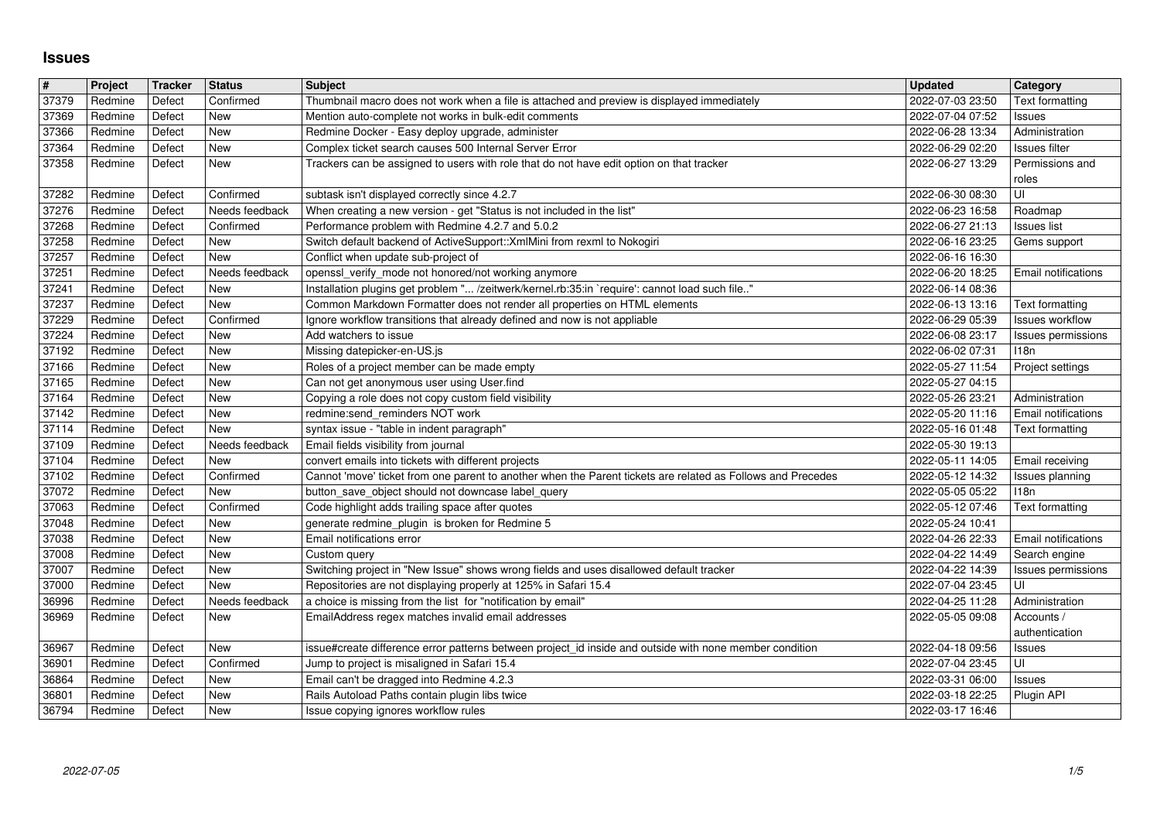## **Issues**

| $\pmb{\#}$     | Project            | <b>Tracker</b>   | <b>Status</b>                | <b>Subject</b>                                                                                                                                                    | <b>Updated</b>                       | Category                              |
|----------------|--------------------|------------------|------------------------------|-------------------------------------------------------------------------------------------------------------------------------------------------------------------|--------------------------------------|---------------------------------------|
| 37379<br>37369 | Redmine<br>Redmine | Defect<br>Defect | Confirmed<br>New             | Thumbnail macro does not work when a file is attached and preview is displayed immediately<br>Mention auto-complete not works in bulk-edit comments               | 2022-07-03 23:50<br>2022-07-04 07:52 | Text formatting<br>Issues             |
| 37366          | Redmine            | Defect           | <b>New</b>                   | Redmine Docker - Easy deploy upgrade, administer                                                                                                                  | 2022-06-28 13:34                     | Administration                        |
| 37364<br>37358 | Redmine<br>Redmine | Defect<br>Defect | <b>New</b><br>New            | Complex ticket search causes 500 Internal Server Error<br>Trackers can be assigned to users with role that do not have edit option on that tracker                | 2022-06-29 02:20<br>2022-06-27 13:29 | Issues filter<br>Permissions and      |
|                |                    |                  |                              |                                                                                                                                                                   |                                      | roles                                 |
| 37282          | Redmine            | Defect           | Confirmed                    | subtask isn't displayed correctly since 4.2.7                                                                                                                     | 2022-06-30 08:30                     | UI                                    |
| 37276<br>37268 | Redmine<br>Redmine | Defect<br>Defect | Needs feedback<br>Confirmed  | When creating a new version - get "Status is not included in the list"<br>Performance problem with Redmine 4.2.7 and 5.0.2                                        | 2022-06-23 16:58<br>2022-06-27 21:13 | Roadmap<br><b>Issues list</b>         |
| 37258          | Redmine            | Defect           | New                          | Switch default backend of ActiveSupport:: XmlMini from rexml to Nokogiri                                                                                          | 2022-06-16 23:25                     | Gems support                          |
| 37257<br>37251 | Redmine<br>Redmine | Defect<br>Defect | <b>New</b><br>Needs feedback | Conflict when update sub-project of<br>openssl_verify_mode not honored/not working anymore                                                                        | 2022-06-16 16:30<br>2022-06-20 18:25 | Email notifications                   |
| 37241          | Redmine            | Defect           | New                          | Installation plugins get problem " /zeitwerk/kernel.rb:35:in `require': cannot load such file"                                                                    | 2022-06-14 08:36                     |                                       |
| 37237          | Redmine            | Defect           | New                          | Common Markdown Formatter does not render all properties on HTML elements                                                                                         | 2022-06-13 13:16                     | Text formatting                       |
| 37229<br>37224 | Redmine<br>Redmine | Defect<br>Defect | Confirmed<br>New             | Ignore workflow transitions that already defined and now is not appliable<br>Add watchers to issue                                                                | 2022-06-29 05:39<br>2022-06-08 23:17 | Issues workflow<br>Issues permissions |
| 37192          | Redmine            | Defect           | New                          | Missing datepicker-en-US.js                                                                                                                                       | 2022-06-02 07:31                     | 118n                                  |
| 37166<br>37165 | Redmine<br>Redmine | Defect<br>Defect | New<br>New                   | Roles of a project member can be made empty<br>Can not get anonymous user using User.find                                                                         | 2022-05-27 11:54<br>2022-05-27 04:15 | Project settings                      |
| 37164          | Redmine            | Defect           | <b>New</b>                   | Copying a role does not copy custom field visibility                                                                                                              | 2022-05-26 23:21                     | Administration                        |
| 37142          | Redmine            | Defect           | <b>New</b>                   | redmine:send_reminders NOT work                                                                                                                                   | 2022-05-20 11:16                     | <b>Email notifications</b>            |
| 37114<br>37109 | Redmine<br>Redmine | Defect<br>Defect | New<br>Needs feedback        | syntax issue - "table in indent paragraph"<br>Email fields visibility from journal                                                                                | 2022-05-16 01:48<br>2022-05-30 19:13 | Text formatting                       |
| 37104          | Redmine            | Defect           | <b>New</b>                   | convert emails into tickets with different projects                                                                                                               | 2022-05-11 14:05                     | Email receiving                       |
| 37102<br>37072 | Redmine<br>Redmine | Defect<br>Defect | Confirmed<br>New             | Cannot 'move' ticket from one parent to another when the Parent tickets are related as Follows and Precedes<br>button_save_object should not downcase label_query | 2022-05-12 14:32<br>2022-05-05 05:22 | Issues planning<br>118n               |
| 37063          | Redmine            | Defect           | Confirmed                    | Code highlight adds trailing space after quotes                                                                                                                   | 2022-05-12 07:46                     | Text formatting                       |
| 37048          | Redmine            | Defect           | New                          | generate redmine_plugin is broken for Redmine 5                                                                                                                   | 2022-05-24 10:41                     |                                       |
| 37038<br>37008 | Redmine<br>Redmine | Defect<br>Defect | New<br>New                   | Email notifications error<br>Custom query                                                                                                                         | 2022-04-26 22:33<br>2022-04-22 14:49 | Email notifications<br>Search engine  |
| 37007          | Redmine            | Defect           | New                          | Switching project in "New Issue" shows wrong fields and uses disallowed default tracker                                                                           | 2022-04-22 14:39                     | Issues permissions                    |
| 37000          | Redmine            | Defect           | <b>New</b>                   | Repositories are not displaying properly at 125% in Safari 15.4                                                                                                   | 2022-07-04 23:45                     | UI                                    |
| 36996<br>36969 | Redmine<br>Redmine | Defect<br>Defect | Needs feedback<br>New        | a choice is missing from the list for "notification by email"<br>EmailAddress regex matches invalid email addresses                                               | 2022-04-25 11:28<br>2022-05-05 09:08 | Administration<br>Accounts /          |
|                |                    |                  |                              |                                                                                                                                                                   |                                      | authentication                        |
| 36967          | Redmine<br>Redmine | Defect<br>Defect | New<br>Confirmed             | issue#create difference error patterns between project_id inside and outside with none member condition<br>Jump to project is misaligned in Safari 15.4           | 2022-04-18 09:56<br>2022-07-04 23:45 | Issues<br>UI                          |
| 36901<br>36864 | Redmine            | Defect           | <b>New</b>                   | Email can't be dragged into Redmine 4.2.3                                                                                                                         | 2022-03-31 06:00                     | <b>Issues</b>                         |
| 36801<br>36794 | Redmine<br>Redmine | Defect<br>Defect | New<br>New                   | Rails Autoload Paths contain plugin libs twice<br>Issue copying ignores workflow rules                                                                            | 2022-03-18 22:25<br>2022-03-17 16:46 | Plugin API                            |
|                |                    |                  |                              |                                                                                                                                                                   |                                      |                                       |
|                |                    |                  |                              |                                                                                                                                                                   |                                      |                                       |
|                |                    |                  |                              |                                                                                                                                                                   |                                      |                                       |
|                |                    |                  |                              |                                                                                                                                                                   |                                      |                                       |
|                |                    |                  |                              |                                                                                                                                                                   |                                      |                                       |
|                |                    |                  |                              |                                                                                                                                                                   |                                      |                                       |
|                |                    |                  |                              |                                                                                                                                                                   |                                      |                                       |
|                |                    |                  |                              |                                                                                                                                                                   |                                      |                                       |
|                |                    |                  |                              |                                                                                                                                                                   |                                      |                                       |
|                |                    |                  |                              |                                                                                                                                                                   |                                      |                                       |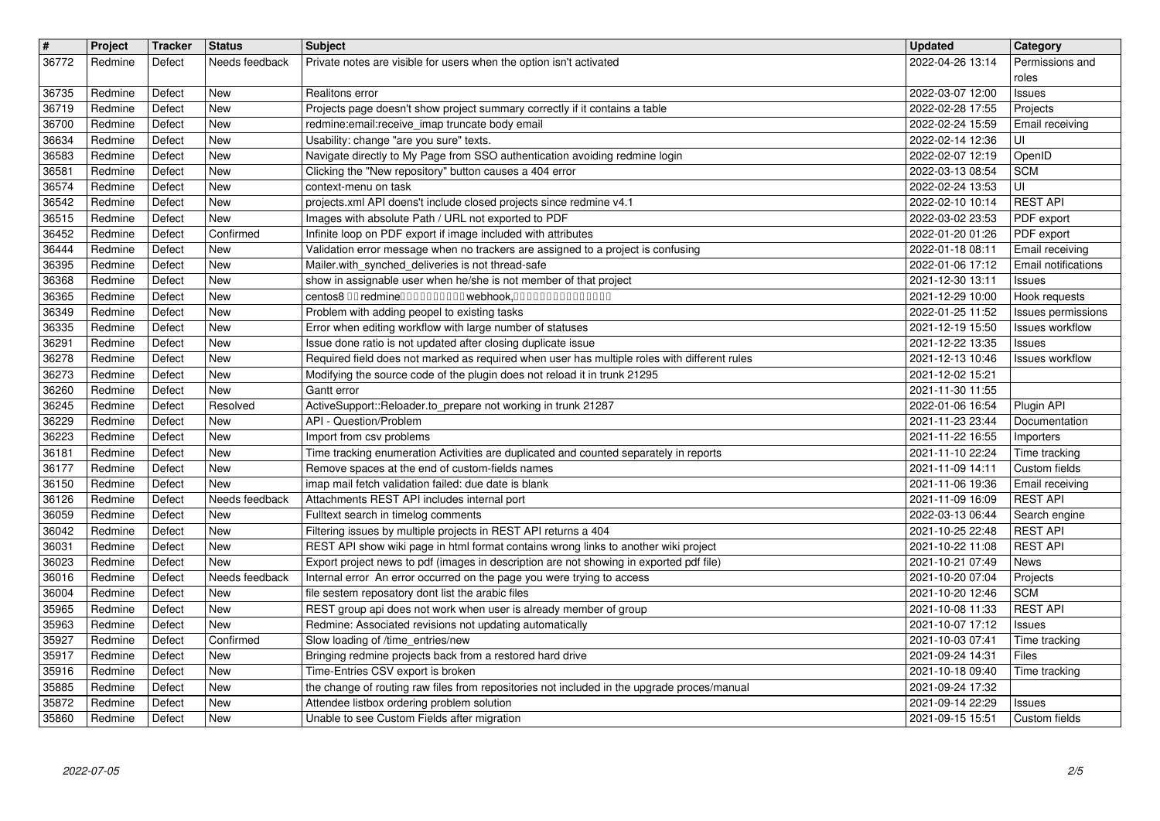| $\vert$ #      | Project            | <b>Tracker</b>   | <b>Status</b>            | <b>Subject</b>                                                                                                                                                    | <b>Updated</b>                       | Category                                |
|----------------|--------------------|------------------|--------------------------|-------------------------------------------------------------------------------------------------------------------------------------------------------------------|--------------------------------------|-----------------------------------------|
| 36772          | Redmine            | Defect           | Needs feedback           | Private notes are visible for users when the option isn't activated                                                                                               | 2022-04-26 13:14                     | Permissions and<br>roles                |
| 36735          | Redmine            | Defect           | <b>New</b>               | Realitons error                                                                                                                                                   | 2022-03-07 12:00                     | Issues                                  |
| 36719<br>36700 | Redmine<br>Redmine | Defect<br>Defect | New<br>New               | Projects page doesn't show project summary correctly if it contains a table<br>redmine: email: receive_imap truncate body email                                   | 2022-02-28 17:55<br>2022-02-24 15:59 | Projects<br>Email receiving             |
| 36634          | Redmine            | Defect           | <b>New</b>               | Usability: change "are you sure" texts.                                                                                                                           | 2022-02-14 12:36                     | UI                                      |
| 36583<br>36581 | Redmine<br>Redmine | Defect<br>Defect | New<br>New               | Navigate directly to My Page from SSO authentication avoiding redmine login<br>Clicking the "New repository" button causes a 404 error                            | 2022-02-07 12:19<br>2022-03-13 08:54 | OpenID<br><b>SCM</b>                    |
| 36574          | Redmine            | Defect           | New                      | context-menu on task                                                                                                                                              | 2022-02-24 13:53                     | UI                                      |
| 36542<br>36515 | Redmine<br>Redmine | Defect<br>Defect | <b>New</b><br><b>New</b> | projects.xml API doens't include closed projects since redmine v4.1<br>Images with absolute Path / URL not exported to PDF                                        | 2022-02-10 10:14<br>2022-03-02 23:53 | <b>REST API</b><br>PDF export           |
| 36452          | Redmine            | Defect           | Confirmed                | Infinite loop on PDF export if image included with attributes                                                                                                     | 2022-01-20 01:26                     | PDF export                              |
| 36444<br>36395 | Redmine<br>Redmine | Defect<br>Defect | New<br><b>New</b>        | Validation error message when no trackers are assigned to a project is confusing<br>Mailer.with_synched_deliveries is not thread-safe                             | 2022-01-18 08:11<br>2022-01-06 17:12 | Email receiving<br>Email notifications  |
| 36368<br>36365 | Redmine<br>Redmine | Defect<br>Defect | <b>New</b><br>New        | show in assignable user when he/she is not member of that project<br>centos8 00 redmine0000000000 webhook,000000000000000                                         | 2021-12-30 13:11<br>2021-12-29 10:00 | <b>Issues</b><br>Hook requests          |
| 36349          | Redmine            | Defect           | New                      | Problem with adding peopel to existing tasks                                                                                                                      | 2022-01-25 11:52                     | Issues permissions                      |
| 36335<br>36291 | Redmine<br>Redmine | Defect<br>Defect | <b>New</b><br><b>New</b> | Error when editing workflow with large number of statuses<br>Issue done ratio is not updated after closing duplicate issue                                        | 2021-12-19 15:50<br>2021-12-22 13:35 | <b>Issues workflow</b><br><b>Issues</b> |
| 36278          | Redmine            | Defect           | <b>New</b>               | Required field does not marked as required when user has multiple roles with different rules                                                                      | 2021-12-13 10:46                     | <b>Issues workflow</b>                  |
| 36273<br>36260 | Redmine<br>Redmine | Defect<br>Defect | <b>New</b><br><b>New</b> | Modifying the source code of the plugin does not reload it in trunk 21295<br>Gantt error                                                                          | 2021-12-02 15:21<br>2021-11-30 11:55 |                                         |
| 36245          | Redmine            | Defect           | Resolved                 | ActiveSupport::Reloader.to_prepare not working in trunk 21287                                                                                                     | 2022-01-06 16:54                     | Plugin API                              |
| 36229<br>36223 | Redmine<br>Redmine | Defect<br>Defect | <b>New</b><br>New        | API - Question/Problem<br>Import from csv problems                                                                                                                | 2021-11-23 23:44<br>2021-11-22 16:55 | Documentation<br>Importers              |
| 36181          | Redmine            | Defect           | New                      | Time tracking enumeration Activities are duplicated and counted separately in reports                                                                             | 2021-11-10 22:24                     | Time tracking                           |
| 36177<br>36150 | Redmine<br>Redmine | Defect<br>Defect | New<br><b>New</b>        | Remove spaces at the end of custom-fields names<br>imap mail fetch validation failed: due date is blank                                                           | 2021-11-09 14:11<br>2021-11-06 19:36 | Custom fields<br>Email receiving        |
| 36126          | Redmine            | Defect           | Needs feedback           | Attachments REST API includes internal port                                                                                                                       | 2021-11-09 16:09                     | <b>REST API</b>                         |
| 36059<br>36042 | Redmine<br>Redmine | Defect<br>Defect | <b>New</b><br><b>New</b> | Fulltext search in timelog comments<br>Filtering issues by multiple projects in REST API returns a 404                                                            | 2022-03-13 06:44<br>2021-10-25 22:48 | Search engine<br><b>REST API</b>        |
| 36031          | Redmine            | Defect           | <b>New</b>               | REST API show wiki page in html format contains wrong links to another wiki project                                                                               | 2021-10-22 11:08                     | <b>REST API</b>                         |
| 36023<br>36016 | Redmine<br>Redmine | Defect<br>Defect | New<br>Needs feedback    | Export project news to pdf (images in description are not showing in exported pdf file)<br>Internal error An error occurred on the page you were trying to access | 2021-10-21 07:49<br>2021-10-20 07:04 | News<br>Projects                        |
| 36004          | Redmine            | Defect           | New                      | file sestem reposatory dont list the arabic files                                                                                                                 | 2021-10-20 12:46                     | <b>SCM</b>                              |
| 35965<br>35963 | Redmine<br>Redmine | Defect<br>Defect | <b>New</b><br><b>New</b> | REST group api does not work when user is already member of group<br>Redmine: Associated revisions not updating automatically                                     | 2021-10-08 11:33<br>2021-10-07 17:12 | <b>REST API</b><br>Issues               |
| 35927          | Redmine            | Defect           | Confirmed                | Slow loading of /time_entries/new                                                                                                                                 | 2021-10-03 07:41                     | Time tracking                           |
| 35917<br>35916 | Redmine<br>Redmine | Defect<br>Defect | New<br><b>New</b>        | Bringing redmine projects back from a restored hard drive<br>Time-Entries CSV export is broken                                                                    | 2021-09-24 14:31<br>2021-10-18 09:40 | Files<br>Time tracking                  |
| 35885          | Redmine            | Defect           | New                      | the change of routing raw files from repositories not included in the upgrade proces/manual                                                                       | 2021-09-24 17:32                     |                                         |
| 35872<br>35860 | Redmine<br>Redmine | Defect<br>Defect | New<br>New               | Attendee listbox ordering problem solution<br>Unable to see Custom Fields after migration                                                                         | 2021-09-14 22:29<br>2021-09-15 15:51 | Issues<br>Custom fields                 |
|                |                    |                  |                          |                                                                                                                                                                   |                                      |                                         |
|                |                    |                  |                          |                                                                                                                                                                   |                                      |                                         |
|                |                    |                  |                          |                                                                                                                                                                   |                                      |                                         |
|                |                    |                  |                          |                                                                                                                                                                   |                                      |                                         |
|                |                    |                  |                          |                                                                                                                                                                   |                                      |                                         |
|                |                    |                  |                          |                                                                                                                                                                   |                                      |                                         |
|                |                    |                  |                          |                                                                                                                                                                   |                                      |                                         |
|                |                    |                  |                          |                                                                                                                                                                   |                                      |                                         |
|                |                    |                  |                          |                                                                                                                                                                   |                                      |                                         |
|                |                    |                  |                          |                                                                                                                                                                   |                                      |                                         |
|                |                    |                  |                          |                                                                                                                                                                   |                                      |                                         |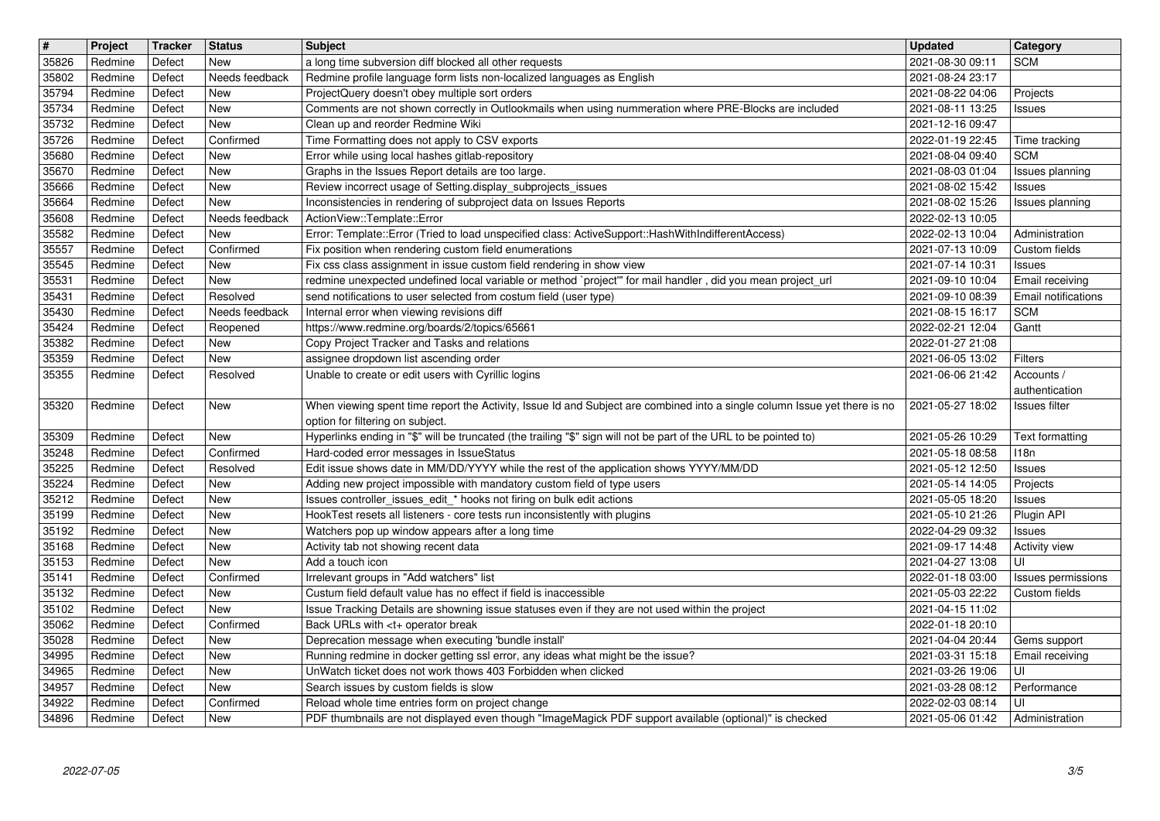| $\overline{\boldsymbol{H}}$ | Project            | Tracker          | <b>Status</b>              | Subject                                                                                                                                                              | <b>Updated</b>                       | Category                                 |
|-----------------------------|--------------------|------------------|----------------------------|----------------------------------------------------------------------------------------------------------------------------------------------------------------------|--------------------------------------|------------------------------------------|
| 35826<br>35802              | Redmine<br>Redmine | Defect<br>Defect | New<br>Needs feedback      | a long time subversion diff blocked all other requests<br>Redmine profile language form lists non-localized languages as English                                     | 2021-08-30 09:11<br>2021-08-24 23:17 | <b>SCM</b>                               |
| 35794                       | Redmine            | Defect           | <b>New</b>                 | ProjectQuery doesn't obey multiple sort orders                                                                                                                       | 2021-08-22 04:06                     | Projects                                 |
| 35734                       | Redmine            | Defect           | New                        | Comments are not shown correctly in Outlookmails when using nummeration where PRE-Blocks are included                                                                | 2021-08-11 13:25                     | Issues                                   |
| 35732<br>35726              | Redmine<br>Redmine | Defect<br>Defect | New<br>Confirmed           | Clean up and reorder Redmine Wiki<br>Time Formatting does not apply to CSV exports                                                                                   | 2021-12-16 09:47<br>2022-01-19 22:45 | Time tracking                            |
| 35680                       | Redmine            | Defect           | New                        | Error while using local hashes gitlab-repository                                                                                                                     | 2021-08-04 09:40                     | <b>SCM</b>                               |
| 35670                       | Redmine            | Defect           | New                        | Graphs in the Issues Report details are too large.                                                                                                                   | 2021-08-03 01:04                     | Issues planning                          |
| 35666<br>35664              | Redmine<br>Redmine | Defect<br>Defect | New<br>New                 | Review incorrect usage of Setting.display_subprojects_issues<br>Inconsistencies in rendering of subproject data on Issues Reports                                    | 2021-08-02 15:42<br>2021-08-02 15:26 | Issues<br>Issues planning                |
| 35608                       | Redmine            | Defect           | Needs feedback             | ActionView::Template::Error                                                                                                                                          | 2022-02-13 10:05                     |                                          |
| 35582<br>35557              | Redmine            | Defect           | New                        | Error: Template::Error (Tried to load unspecified class: ActiveSupport::HashWithIndifferentAccess)                                                                   | 2022-02-13 10:04                     | Administration<br>Custom fields          |
| 35545                       | Redmine<br>Redmine | Defect<br>Defect | Confirmed<br>New           | Fix position when rendering custom field enumerations<br>Fix css class assignment in issue custom field rendering in show view                                       | 2021-07-13 10:09<br>2021-07-14 10:31 | <b>Issues</b>                            |
| 35531                       | Redmine            | Defect           | New                        | redmine unexpected undefined local variable or method `project" for mail handler, did you mean project_url                                                           | 2021-09-10 10:04                     | Email receiving                          |
| 35431<br>35430              | Redmine<br>Redmine | Defect<br>Defect | Resolved<br>Needs feedback | send notifications to user selected from costum field (user type)<br>Internal error when viewing revisions diff                                                      | 2021-09-10 08:39<br>2021-08-15 16:17 | <b>Email notifications</b><br><b>SCM</b> |
| 35424                       | Redmine            | Defect           | Reopened                   | https://www.redmine.org/boards/2/topics/65661                                                                                                                        | 2022-02-21 12:04                     | Gantt                                    |
| 35382                       | Redmine            | Defect           | New                        | Copy Project Tracker and Tasks and relations                                                                                                                         | 2022-01-27 21:08                     |                                          |
| 35359<br>35355              | Redmine<br>Redmine | Defect<br>Defect | New<br>Resolved            | assignee dropdown list ascending order<br>Unable to create or edit users with Cyrillic logins                                                                        | 2021-06-05 13:02<br>2021-06-06 21:42 | Filters<br>Accounts /                    |
|                             |                    |                  |                            |                                                                                                                                                                      |                                      | authentication                           |
| 35320                       | Redmine            | Defect           | New                        | When viewing spent time report the Activity, Issue Id and Subject are combined into a single column Issue yet there is no                                            | 2021-05-27 18:02                     | Issues filter                            |
| 35309                       | Redmine            | Defect           | New                        | option for filtering on subject.<br>Hyperlinks ending in "\$" will be truncated (the trailing "\$" sign will not be part of the URL to be pointed to)                | 2021-05-26 10:29                     | Text formatting                          |
| 35248                       | Redmine            | Defect           | Confirmed                  | Hard-coded error messages in IssueStatus                                                                                                                             | 2021-05-18 08:58                     | 118n                                     |
| 35225                       | Redmine            | Defect           | Resolved                   | Edit issue shows date in MM/DD/YYYY while the rest of the application shows YYYY/MM/DD                                                                               | 2021-05-12 12:50                     | Issues                                   |
| 35224<br>35212              | Redmine<br>Redmine | Defect<br>Defect | New<br>New                 | Adding new project impossible with mandatory custom field of type users<br>Issues controller_issues_edit_* hooks not firing on bulk edit actions                     | 2021-05-14 14:05<br>2021-05-05 18:20 | Projects<br>Issues                       |
| 35199                       | Redmine            | Defect           | New                        | HookTest resets all listeners - core tests run inconsistently with plugins                                                                                           | 2021-05-10 21:26                     | Plugin API                               |
| 35192<br>35168              | Redmine<br>Redmine | Defect<br>Defect | New<br>New                 | Watchers pop up window appears after a long time<br>Activity tab not showing recent data                                                                             | 2022-04-29 09:32<br>2021-09-17 14:48 | Issues<br><b>Activity view</b>           |
| 35153                       | Redmine            | Defect           | New                        | Add a touch icon                                                                                                                                                     | 2021-04-27 13:08                     | UI                                       |
| 35141                       | Redmine            | Defect           | Confirmed                  | Irrelevant groups in "Add watchers" list                                                                                                                             | 2022-01-18 03:00                     | Issues permissions                       |
| 35132<br>35102              | Redmine<br>Redmine | Defect<br>Defect | New<br>New                 | Custum field default value has no effect if field is inaccessible<br>Issue Tracking Details are showning issue statuses even if they are not used within the project | 2021-05-03 22:22<br>2021-04-15 11:02 | Custom fields                            |
| 35062                       | Redmine            | Defect           | Confirmed                  | Back URLs with <t+ break<="" operator="" td=""><td>2022-01-18 20:10</td><td></td></t+>                                                                               | 2022-01-18 20:10                     |                                          |
| 35028                       | Redmine            | Defect           | New                        | Deprecation message when executing 'bundle install'                                                                                                                  | 2021-04-04 20:44                     | Gems support                             |
| 34995<br>34965              | Redmine<br>Redmine | Defect<br>Defect | New<br>New                 | Running redmine in docker getting ssl error, any ideas what might be the issue?<br>UnWatch ticket does not work thows 403 Forbidden when clicked                     | 2021-03-31 15:18<br>2021-03-26 19:06 | Email receiving<br>UI                    |
| 34957                       | Redmine            | Defect           | New                        | Search issues by custom fields is slow                                                                                                                               | 2021-03-28 08:12                     | Performance                              |
| 34922<br>34896              | Redmine<br>Redmine | Defect<br>Defect | Confirmed<br>New           | Reload whole time entries form on project change<br>PDF thumbnails are not displayed even though "ImageMagick PDF support available (optional)" is checked           | 2022-02-03 08:14<br>2021-05-06 01:42 | UI<br>Administration                     |
|                             |                    |                  |                            |                                                                                                                                                                      |                                      |                                          |
|                             |                    |                  |                            |                                                                                                                                                                      |                                      |                                          |
|                             |                    |                  |                            |                                                                                                                                                                      |                                      |                                          |
|                             |                    |                  |                            |                                                                                                                                                                      |                                      |                                          |
|                             |                    |                  |                            |                                                                                                                                                                      |                                      |                                          |
|                             |                    |                  |                            |                                                                                                                                                                      |                                      |                                          |
|                             |                    |                  |                            |                                                                                                                                                                      |                                      |                                          |
|                             |                    |                  |                            |                                                                                                                                                                      |                                      |                                          |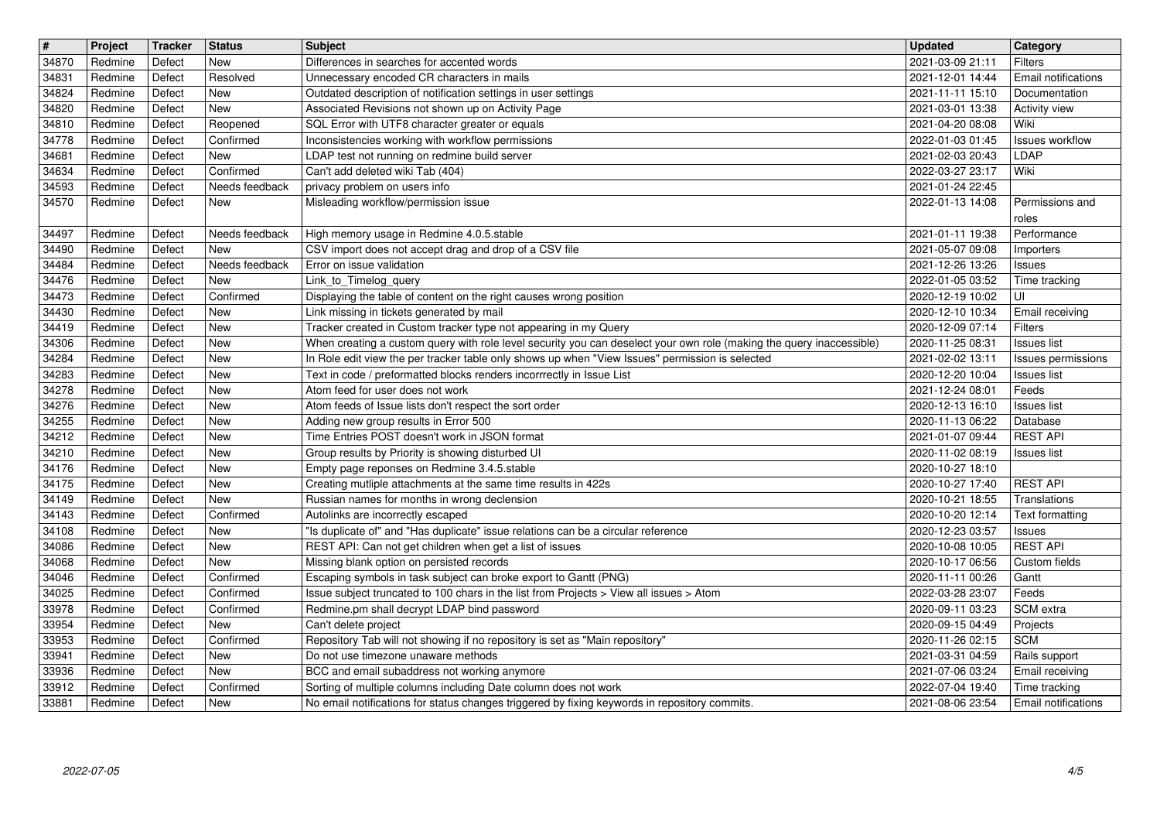| $\overline{\boldsymbol{H}}$ | Project    | Tracker | <b>Status</b>  | <b>Subject</b>                                                                                                       | <b>Updated</b>   | Category                   |
|-----------------------------|------------|---------|----------------|----------------------------------------------------------------------------------------------------------------------|------------------|----------------------------|
| 34870                       | Redmine    | Defect  | New            | Differences in searches for accented words                                                                           | 2021-03-09 21:11 | <b>Filters</b>             |
| 34831                       | Redmine    | Defect  | Resolved       | Unnecessary encoded CR characters in mails                                                                           | 2021-12-01 14:44 | Email notifications        |
| 34824                       | Redmine    | Defect  | <b>New</b>     | Outdated description of notification settings in user settings                                                       | 2021-11-11 15:10 | Documentation              |
| 34820                       | Redmine    | Defect  | New            | Associated Revisions not shown up on Activity Page                                                                   | 2021-03-01 13:38 | <b>Activity view</b>       |
| 34810                       | Redmine    | Defect  | Reopened       | SQL Error with UTF8 character greater or equals                                                                      | 2021-04-20 08:08 | Wiki                       |
| 34778                       | Redmine    | Defect  | Confirmed      | Inconsistencies working with workflow permissions                                                                    | 2022-01-03 01:45 | <b>Issues workflow</b>     |
| 34681                       | Redmine    | Defect  | New            | LDAP test not running on redmine build server                                                                        | 2021-02-03 20:43 | LDAP                       |
| 34634                       | Redmine    | Defect  | Confirmed      | Can't add deleted wiki Tab (404)                                                                                     | 2022-03-27 23:17 | Wiki                       |
| 34593                       | Redmine    | Defect  | Needs feedback | privacy problem on users info                                                                                        | 2021-01-24 22:45 | Permissions and            |
| 34570                       | Redmine    | Defect  | New            | Misleading workflow/permission issue                                                                                 | 2022-01-13 14:08 | roles                      |
| 34497                       | Redmine    | Defect  | Needs feedback | High memory usage in Redmine 4.0.5.stable                                                                            | 2021-01-11 19:38 | Performance                |
| 34490                       | Redmine    | Defect  | New            | CSV import does not accept drag and drop of a CSV file                                                               | 2021-05-07 09:08 | Importers                  |
| 34484                       | Redmine    | Defect  | Needs feedback | Error on issue validation                                                                                            | 2021-12-26 13:26 | <b>Issues</b>              |
| 34476                       | Redmine    | Defect  | New            | Link_to_Timelog_query                                                                                                | 2022-01-05 03:52 | Time tracking              |
| 34473                       | Redmine    | Defect  | Confirmed      | Displaying the table of content on the right causes wrong position                                                   | 2020-12-19 10:02 | UI                         |
| 34430                       | Redmine    | Defect  | New            | Link missing in tickets generated by mail                                                                            | 2020-12-10 10:34 | Email receiving            |
| 34419                       | Redmine    | Defect  | New            | Tracker created in Custom tracker type not appearing in my Query                                                     | 2020-12-09 07:14 | <b>Filters</b>             |
| 34306                       | Redmine    | Defect  | New            | When creating a custom query with role level security you can deselect your own role (making the query inaccessible) | 2020-11-25 08:31 | Issues list                |
| 34284                       | Redmine    | Defect  | New            | In Role edit view the per tracker table only shows up when "View Issues" permission is selected                      | 2021-02-02 13:11 | Issues permissions         |
| 34283                       | Redmine    | Defect  | New            | Text in code / preformatted blocks renders incorrrectly in Issue List                                                | 2020-12-20 10:04 | <b>Issues list</b>         |
| 34278                       | Redmine    | Defect  | New            | Atom feed for user does not work                                                                                     | 2021-12-24 08:01 | Feeds                      |
| 34276                       | Redmine    | Defect  | New            | Atom feeds of Issue lists don't respect the sort order                                                               | 2020-12-13 16:10 | <b>Issues list</b>         |
| 34255                       | Redmine    | Defect  | New            | Adding new group results in Error 500                                                                                | 2020-11-13 06:22 | Database                   |
| 34212                       | Redmine    | Defect  | New            | Time Entries POST doesn't work in JSON format                                                                        | 2021-01-07 09:44 | <b>REST API</b>            |
| 34210                       | Redmine    | Defect  | New            | Group results by Priority is showing disturbed UI                                                                    | 2020-11-02 08:19 | <b>Issues list</b>         |
| 34176                       | Redmine    | Defect  | New            | Empty page reponses on Redmine 3.4.5.stable                                                                          | 2020-10-27 18:10 |                            |
| 34175                       | Redmine    | Defect  | New            | Creating mutliple attachments at the same time results in 422s                                                       | 2020-10-27 17:40 | <b>REST API</b>            |
| 34149                       | Redmine    | Defect  | New            | Russian names for months in wrong declension                                                                         | 2020-10-21 18:55 | Translations               |
| 34143                       | Redmine    | Defect  | Confirmed      | Autolinks are incorrectly escaped                                                                                    | 2020-10-20 12:14 | Text formatting            |
| 34108                       | Redmine    | Defect  | New            | "Is duplicate of" and "Has duplicate" issue relations can be a circular reference                                    | 2020-12-23 03:57 | Issues                     |
| 34086                       | Redmine    | Defect  | <b>New</b>     | REST API: Can not get children when get a list of issues                                                             | 2020-10-08 10:05 | <b>REST API</b>            |
| 34068                       | Redmine    | Defect  | New            | Missing blank option on persisted records                                                                            | 2020-10-17 06:56 | Custom fields              |
| 34046                       | Redmine    | Defect  | Confirmed      | Escaping symbols in task subject can broke export to Gantt (PNG)                                                     | 2020-11-11 00:26 | Gantt                      |
| 34025                       | Redmine    | Defect  | Confirmed      | Issue subject truncated to 100 chars in the list from Projects > View all issues > Atom                              | 2022-03-28 23:07 | Feeds                      |
| 33978                       | Redmine    | Defect  | Confirmed      | Redmine.pm shall decrypt LDAP bind password                                                                          | 2020-09-11 03:23 | SCM extra                  |
| 33954                       | Redmine    | Defect  | New            | Can't delete project                                                                                                 | 2020-09-15 04:49 | Projects                   |
| 33953                       | Redmine    | Defect  | Confirmed      | Repository Tab will not showing if no repository is set as "Main repository"                                         | 2020-11-26 02:15 | <b>SCM</b>                 |
| 33941                       | Redmine    | Defect  | New            | Do not use timezone unaware methods                                                                                  | 2021-03-31 04:59 | Rails support              |
| 33936                       | Redmine    | Defect  | New            | BCC and email subaddress not working anymore                                                                         | 2021-07-06 03:24 | Email receiving            |
| 33912                       | Redmine    | Defect  | Confirmed      | Sorting of multiple columns including Date column does not work                                                      | 2022-07-04 19:40 | Time tracking              |
| 33881                       | Redmine    | Defect  | New            | No email notifications for status changes triggered by fixing keywords in repository commits.                        | 2021-08-06 23:54 | <b>Email notifications</b> |
|                             | 2022-07-05 |         |                |                                                                                                                      |                  | 4/5                        |
|                             |            |         |                |                                                                                                                      |                  |                            |
|                             |            |         |                |                                                                                                                      |                  |                            |
|                             |            |         |                |                                                                                                                      |                  |                            |